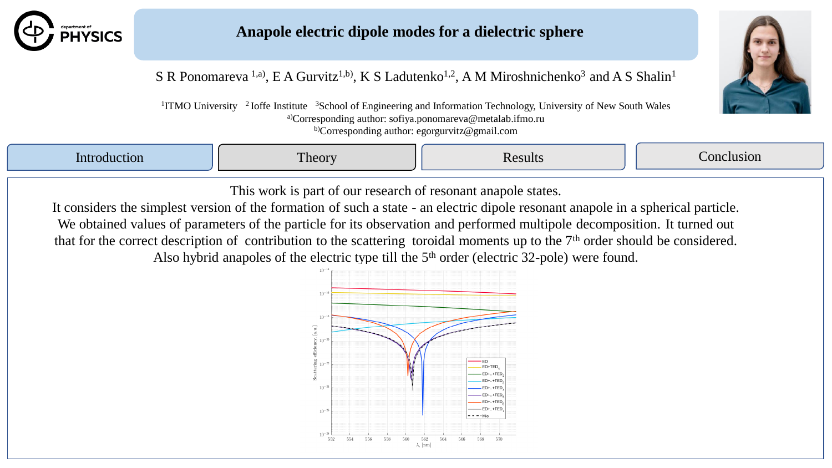

## **Anapole electric dipole modes for a dielectric sphere**



S R Ponomareva <sup>1,a)</sup>, E A Gurvitz<sup>1,b)</sup>, K S Ladutenko<sup>1,2</sup>, A M Miroshnichenko<sup>3</sup> and A S Shalin<sup>1</sup>

<sup>1</sup>ITMO University <sup>2</sup> Ioffe Institute <sup>3</sup>School of Engineering and Information Technology, University of New South Wales a)Corresponding author: sofiya.ponomareva@metalab.ifmo.ru b)Corresponding author: egorgurvitz@gmail.com

| $\mathcal{L}^{\text{max}}_{\text{max}}$ and $\mathcal{L}^{\text{max}}_{\text{max}}$ and $\mathcal{L}^{\text{max}}_{\text{max}}$ | $T^*$<br>l heory | usion |
|---------------------------------------------------------------------------------------------------------------------------------|------------------|-------|
|                                                                                                                                 |                  |       |

This work is part of our research of resonant anapole states.

It considers the simplest version of the formation of such a state - an electric dipole resonant anapole in a spherical particle. We obtained values of parameters of the particle for its observation and performed multipole decomposition. It turned out that for the correct description of contribution to the scattering toroidal moments up to the 7<sup>th</sup> order should be considered. Also hybrid anapoles of the electric type till the  $5<sup>th</sup>$  order (electric 32-pole) were found.

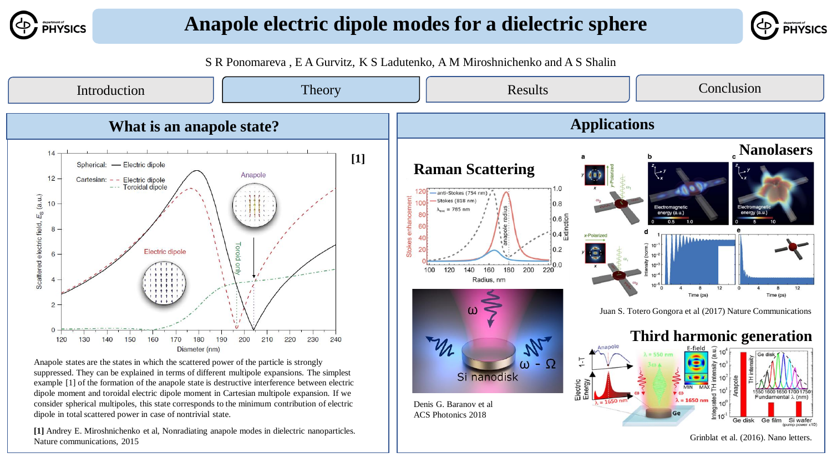

## **Anapole electric dipole modes for a dielectric sphere**



S R Ponomareva , E A Gurvitz, K S Ladutenko, A M Miroshnichenko and A S Shalin

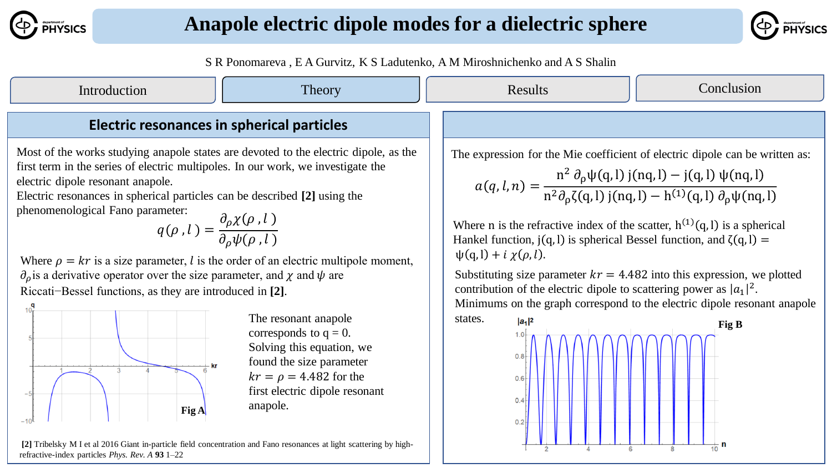



S R Ponomareva , E A Gurvitz, K S Ladutenko, A M Miroshnichenko and A S Shalin

| Introduction                                                                                                                                                                                                                                                                                                                                                                                                                                                                                                                                                                                                                                                                                                                                                                                                                                                                                                                                                                                          | Theory | Results                                                                   | Conclusion                                                                                                                                                                                                                                                                                                                                                                                                                                                                                                                                                                                                                                                              |  |
|-------------------------------------------------------------------------------------------------------------------------------------------------------------------------------------------------------------------------------------------------------------------------------------------------------------------------------------------------------------------------------------------------------------------------------------------------------------------------------------------------------------------------------------------------------------------------------------------------------------------------------------------------------------------------------------------------------------------------------------------------------------------------------------------------------------------------------------------------------------------------------------------------------------------------------------------------------------------------------------------------------|--------|---------------------------------------------------------------------------|-------------------------------------------------------------------------------------------------------------------------------------------------------------------------------------------------------------------------------------------------------------------------------------------------------------------------------------------------------------------------------------------------------------------------------------------------------------------------------------------------------------------------------------------------------------------------------------------------------------------------------------------------------------------------|--|
| <b>Electric resonances in spherical particles</b>                                                                                                                                                                                                                                                                                                                                                                                                                                                                                                                                                                                                                                                                                                                                                                                                                                                                                                                                                     |        |                                                                           |                                                                                                                                                                                                                                                                                                                                                                                                                                                                                                                                                                                                                                                                         |  |
| Most of the works studying anapole states are devoted to the electric dipole, as the<br>first term in the series of electric multipoles. In our work, we investigate the<br>electric dipole resonant anapole.<br>Electric resonances in spherical particles can be described [2] using the<br>phenomenological Fano parameter:<br>$q(\rho, l) = \frac{\partial_{\rho} \chi(\rho, l)}{\partial_{\rho} \psi(\rho, l)}$<br>Where $\rho = kr$ is a size parameter, l is the order of an electric multipole moment,<br>$\partial_{\rho}$ is a derivative operator over the size parameter, and $\chi$ and $\psi$ are<br>Riccati-Bessel functions, as they are introduced in [2].<br>The resonant anapole<br>corresponds to $q = 0$ .<br>Solving this equation, we<br>found the size parameter<br>$kr = \rho = 4.482$ for the<br>first electric dipole resonant<br>anapole.<br>Fig A<br>[2] Tribelsky M I et al 2016 Giant in-particle field concentration and Fano resonances at light scattering by high- |        | $\psi(q, l) + i \chi(\rho, l).$<br>states.<br>$ a_1 ^2$<br>0.4<br>$0.2 -$ | The expression for the Mie coefficient of electric dipole can be written as:<br>$a(q, l, n) = \frac{n^2 \partial_{\rho} \psi(q, l) j(nq, l) - j(q, l) \psi(nq, l)}{n^2 \partial_{\rho} \zeta(q, l) j(nq, l) - h^{(1)}(q, l) \partial_{\rho} \psi(nq, l)}$<br>Where n is the refractive index of the scatter, $h^{(1)}(q, l)$ is a spherical<br>Hankel function, $j(q, l)$ is spherical Bessel function, and $\zeta(q, l)$ =<br>Substituting size parameter $kr = 4.482$ into this expression, we plotted<br>contribution of the electric dipole to scattering power as $ a_1 ^2$ .<br>Minimums on the graph correspond to the electric dipole resonant anapole<br>Fig B |  |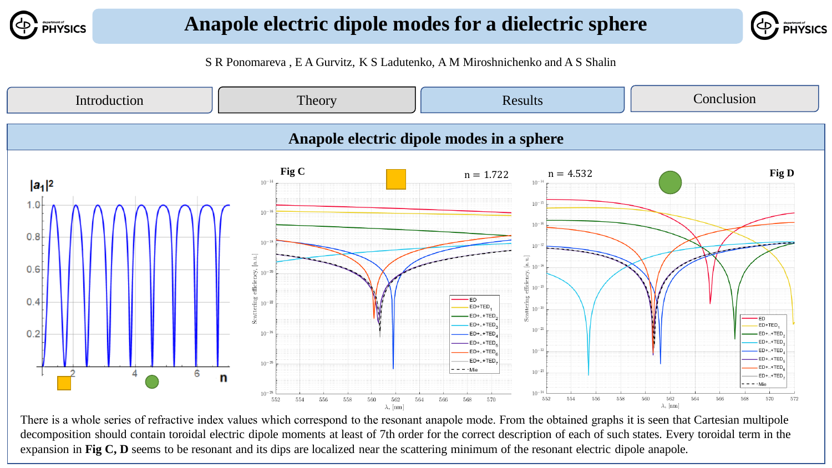



S R Ponomareva , E A Gurvitz, K S Ladutenko, A M Miroshnichenko and A S Shalin



There is a whole series of refractive index values which correspond to the resonant anapole mode. From the obtained graphs it is seen that Cartesian multipole decomposition should contain toroidal electric dipole moments at least of 7th order for the correct description of each of such states. Every toroidal term in the expansion in **Fig C, D** seems to be resonant and its dips are localized near the scattering minimum of the resonant electric dipole anapole.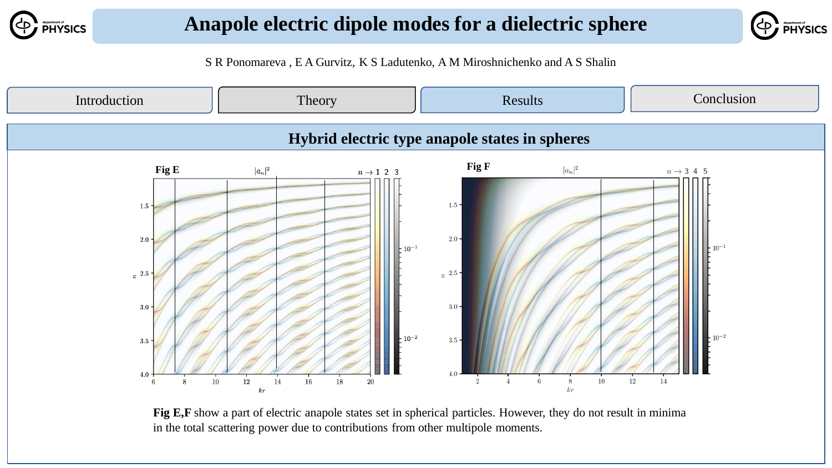



S R Ponomareva , E A Gurvitz, K S Ladutenko, A M Miroshnichenko and A S Shalin



Fig E,F show a part of electric anapole states set in spherical particles. However, they do not result in minima in the total scattering power due to contributions from other multipole moments.